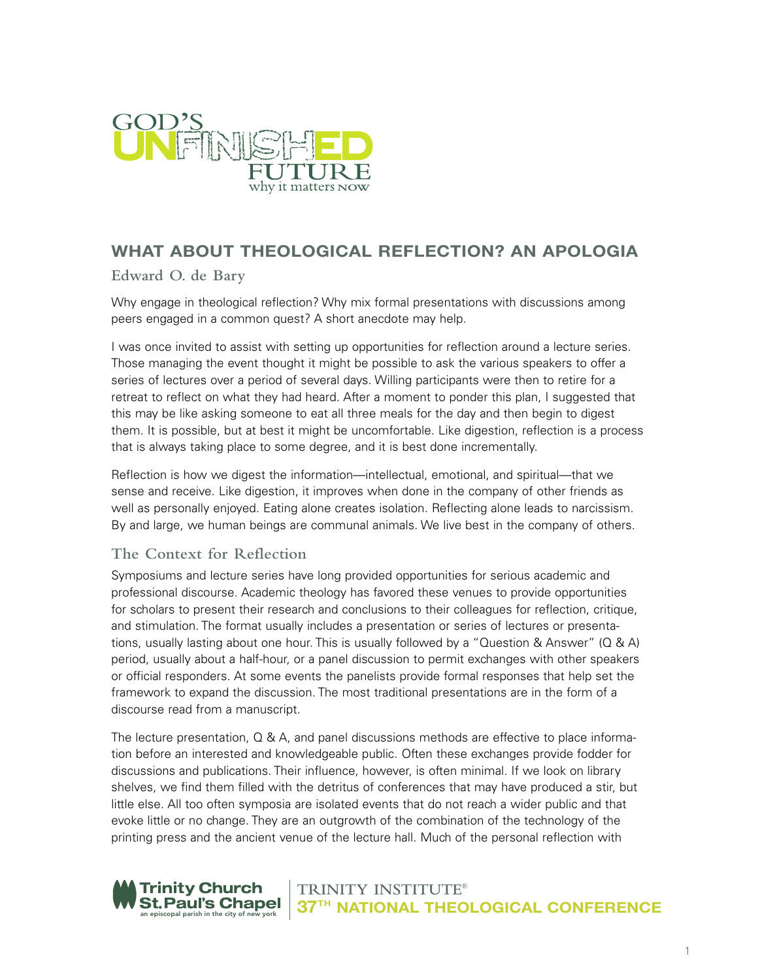

# **WHAT ABOUT THEOLOGICAL REFLECTION? AN APOLOGIA**

**Edward O. de Bary**

Why engage in theological reflection? Why mix formal presentations with discussions among peers engaged in a common quest? A short anecdote may help.

I was once invited to assist with setting up opportunities for reflection around a lecture series. Those managing the event thought it might be possible to ask the various speakers to offer a series of lectures over a period of several days. Willing participants were then to retire for a retreat to reflect on what they had heard. After a moment to ponder this plan, I suggested that this may be like asking someone to eat all three meals for the day and then begin to digest them. It is possible, but at best it might be uncomfortable. Like digestion, reflection is a process that is always taking place to some degree, and it is best done incrementally.

Reflection is how we digest the information—intellectual, emotional, and spiritual—that we sense and receive. Like digestion, it improves when done in the company of other friends as well as personally enjoyed. Eating alone creates isolation. Reflecting alone leads to narcissism. By and large, we human beings are communal animals. We live best in the company of others.

## **The Context for Reflection**

Symposiums and lecture series have long provided opportunities for serious academic and professional discourse. Academic theology has favored these venues to provide opportunities for scholars to present their research and conclusions to their colleagues for reflection, critique, and stimulation. The format usually includes a presentation or series of lectures or presentations, usually lasting about one hour. This is usually followed by a "Question & Answer" (Q & A) period, usually about a half-hour, or a panel discussion to permit exchanges with other speakers or official responders. At some events the panelists provide formal responses that help set the framework to expand the discussion. The most traditional presentations are in the form of a discourse read from a manuscript.

The lecture presentation, Q & A, and panel discussions methods are effective to place information before an interested and knowledgeable public. Often these exchanges provide fodder for discussions and publications. Their influence, however, is often minimal. If we look on library shelves, we find them filled with the detritus of conferences that may have produced a stir, but little else. All too often symposia are isolated events that do not reach a wider public and that evoke little or no change. They are an outgrowth of the combination of the technology of the printing press and the ancient venue of the lecture hall. Much of the personal reflection with

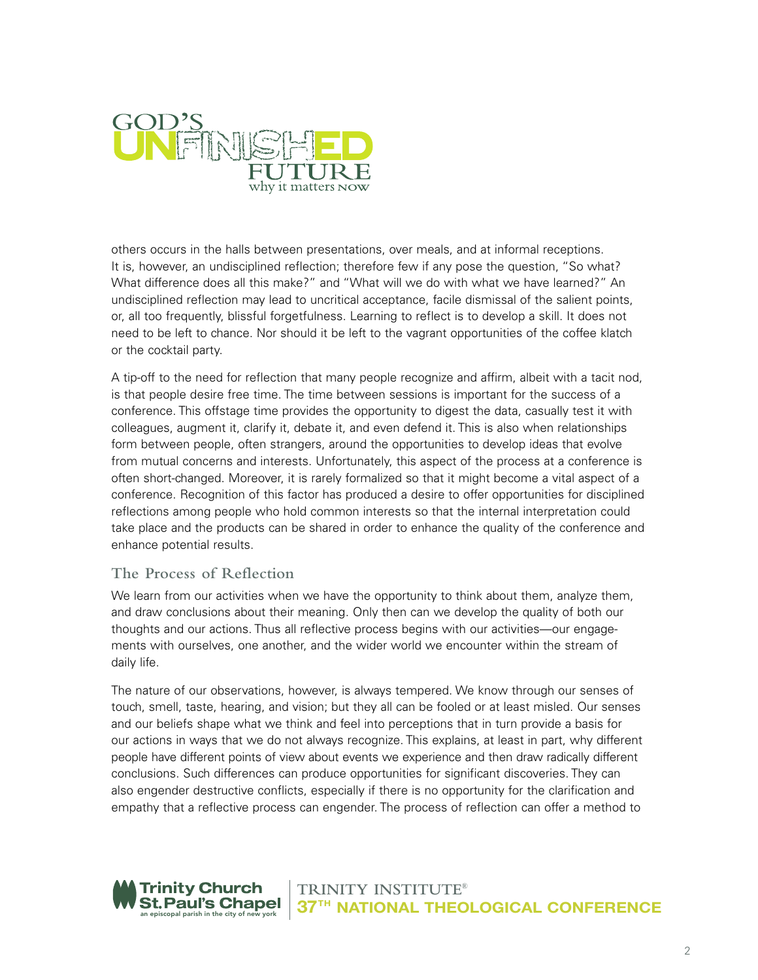

others occurs in the halls between presentations, over meals, and at informal receptions. It is, however, an undisciplined reflection; therefore few if any pose the question, "So what? What difference does all this make?" and "What will we do with what we have learned?" An undisciplined reflection may lead to uncritical acceptance, facile dismissal of the salient points, or, all too frequently, blissful forgetfulness. Learning to reflect is to develop a skill. It does not need to be left to chance. Nor should it be left to the vagrant opportunities of the coffee klatch or the cocktail party.

A tip-off to the need for reflection that many people recognize and affirm, albeit with a tacit nod, is that people desire free time. The time between sessions is important for the success of a conference. This offstage time provides the opportunity to digest the data, casually test it with colleagues, augment it, clarify it, debate it, and even defend it. This is also when relationships form between people, often strangers, around the opportunities to develop ideas that evolve from mutual concerns and interests. Unfortunately, this aspect of the process at a conference is often short-changed. Moreover, it is rarely formalized so that it might become a vital aspect of a conference. Recognition of this factor has produced a desire to offer opportunities for disciplined reflections among people who hold common interests so that the internal interpretation could take place and the products can be shared in order to enhance the quality of the conference and enhance potential results.

#### **The Process of Reflection**

We learn from our activities when we have the opportunity to think about them, analyze them, and draw conclusions about their meaning. Only then can we develop the quality of both our thoughts and our actions. Thus all reflective process begins with our activities—our engagements with ourselves, one another, and the wider world we encounter within the stream of daily life.

The nature of our observations, however, is always tempered. We know through our senses of touch, smell, taste, hearing, and vision; but they all can be fooled or at least misled. Our senses and our beliefs shape what we think and feel into perceptions that in turn provide a basis for our actions in ways that we do not always recognize. This explains, at least in part, why different people have different points of view about events we experience and then draw radically different conclusions. Such differences can produce opportunities for significant discoveries. They can also engender destructive conflicts, especially if there is no opportunity for the clarification and empathy that a reflective process can engender. The process of reflection can offer a method to

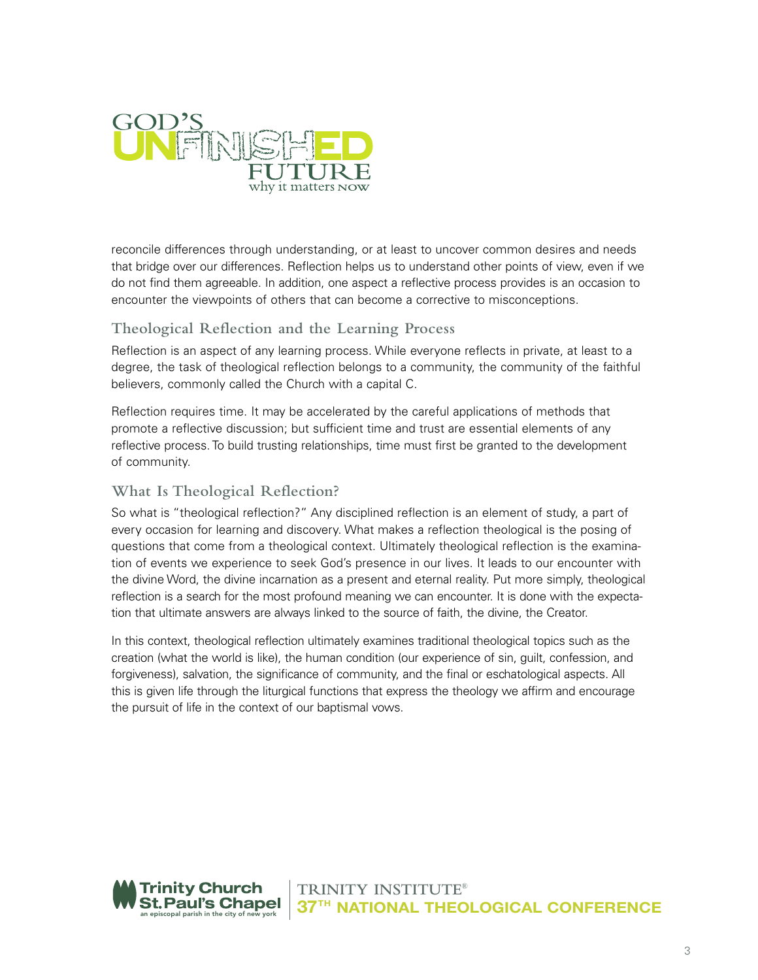

reconcile differences through understanding, or at least to uncover common desires and needs that bridge over our differences. Reflection helps us to understand other points of view, even if we do not find them agreeable. In addition, one aspect a reflective process provides is an occasion to encounter the viewpoints of others that can become a corrective to misconceptions.

## **Theological Reflection and the Learning Process**

Reflection is an aspect of any learning process. While everyone reflects in private, at least to a degree, the task of theological reflection belongs to a community, the community of the faithful believers, commonly called the Church with a capital C.

Reflection requires time. It may be accelerated by the careful applications of methods that promote a reflective discussion; but sufficient time and trust are essential elements of any reflective process. To build trusting relationships, time must first be granted to the development of community.

### **What Is Theological Reflection?**

So what is "theological reflection?" Any disciplined reflection is an element of study, a part of every occasion for learning and discovery. What makes a reflection theological is the posing of questions that come from a theological context. Ultimately theological reflection is the examination of events we experience to seek God's presence in our lives. It leads to our encounter with the divine Word, the divine incarnation as a present and eternal reality. Put more simply, theological reflection is a search for the most profound meaning we can encounter. It is done with the expectation that ultimate answers are always linked to the source of faith, the divine, the Creator.

In this context, theological reflection ultimately examines traditional theological topics such as the creation (what the world is like), the human condition (our experience of sin, guilt, confession, and forgiveness), salvation, the significance of community, and the final or eschatological aspects. All this is given life through the liturgical functions that express the theology we affirm and encourage the pursuit of life in the context of our baptismal vows.

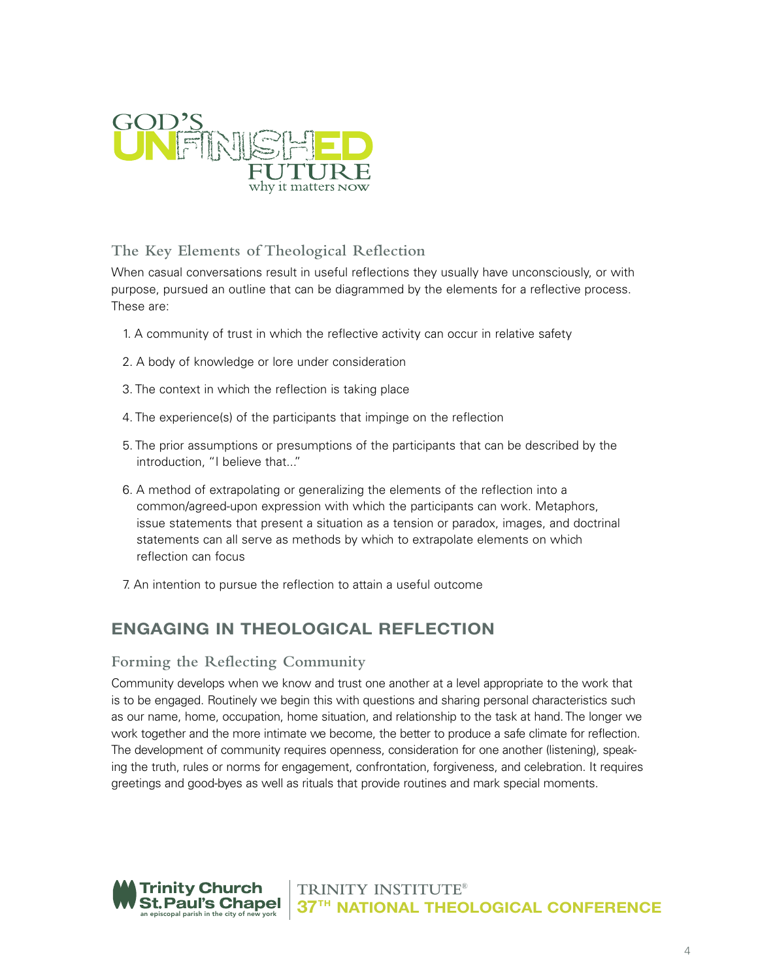

# **The Key Elements of Theological Reflection**

When casual conversations result in useful reflections they usually have unconsciously, or with purpose, pursued an outline that can be diagrammed by the elements for a reflective process. These are:

- 1. A community of trust in which the reflective activity can occur in relative safety
- 2. A body of knowledge or lore under consideration
- 3. The context in which the reflection is taking place
- 4. The experience(s) of the participants that impinge on the reflection
- 5. The prior assumptions or presumptions of the participants that can be described by the introduction, "I believe that..."
- 6. A method of extrapolating or generalizing the elements of the reflection into a common/agreed-upon expression with which the participants can work. Metaphors, issue statements that present a situation as a tension or paradox, images, and doctrinal statements can all serve as methods by which to extrapolate elements on which reflection can focus
- 7. An intention to pursue the reflection to attain a useful outcome

# **ENGAGING IN THEOLOGICAL REFLECTION**

#### **Forming the Reflecting Community**

Community develops when we know and trust one another at a level appropriate to the work that is to be engaged. Routinely we begin this with questions and sharing personal characteristics such as our name, home, occupation, home situation, and relationship to the task at hand. The longer we work together and the more intimate we become, the better to produce a safe climate for reflection. The development of community requires openness, consideration for one another (listening), speaking the truth, rules or norms for engagement, confrontation, forgiveness, and celebration. It requires greetings and good-byes as well as rituals that provide routines and mark special moments.

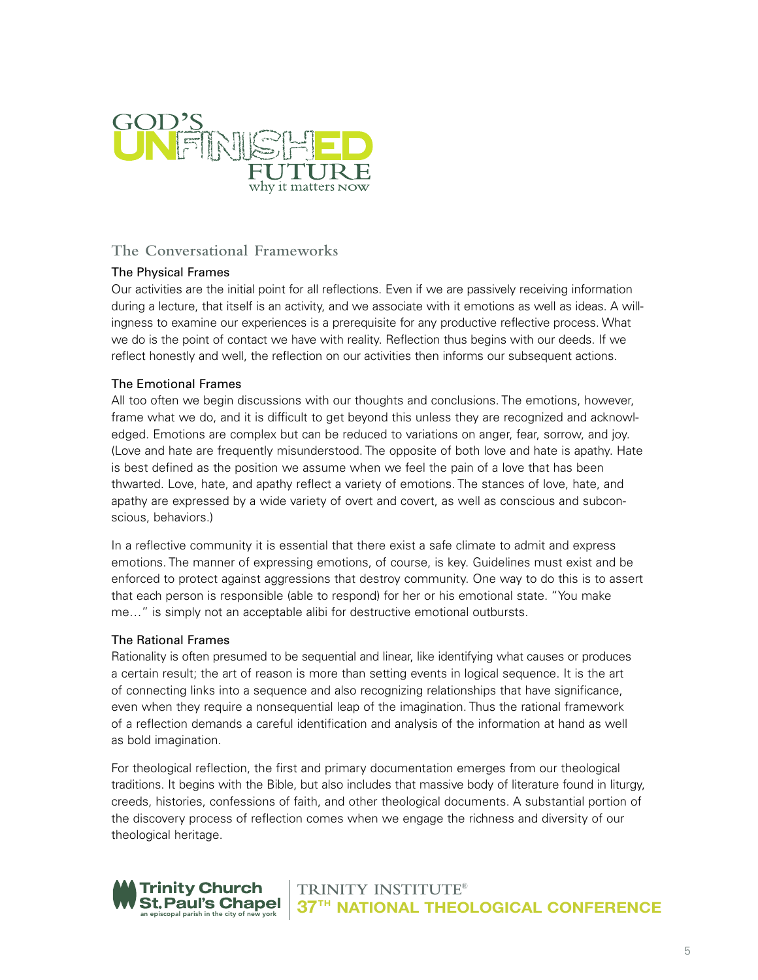

## **The Conversational Frameworks**

#### The Physical Frames

Our activities are the initial point for all reflections. Even if we are passively receiving information during a lecture, that itself is an activity, and we associate with it emotions as well as ideas. A willingness to examine our experiences is a prerequisite for any productive reflective process. What we do is the point of contact we have with reality. Reflection thus begins with our deeds. If we reflect honestly and well, the reflection on our activities then informs our subsequent actions.

#### The Emotional Frames

All too often we begin discussions with our thoughts and conclusions. The emotions, however, frame what we do, and it is difficult to get beyond this unless they are recognized and acknowledged. Emotions are complex but can be reduced to variations on anger, fear, sorrow, and joy. (Love and hate are frequently misunderstood. The opposite of both love and hate is apathy. Hate is best defined as the position we assume when we feel the pain of a love that has been thwarted. Love, hate, and apathy reflect a variety of emotions. The stances of love, hate, and apathy are expressed by a wide variety of overt and covert, as well as conscious and subconscious, behaviors.)

In a reflective community it is essential that there exist a safe climate to admit and express emotions. The manner of expressing emotions, of course, is key. Guidelines must exist and be enforced to protect against aggressions that destroy community. One way to do this is to assert that each person is responsible (able to respond) for her or his emotional state. "You make me…" is simply not an acceptable alibi for destructive emotional outbursts.

#### The Rational Frames

Rationality is often presumed to be sequential and linear, like identifying what causes or produces a certain result; the art of reason is more than setting events in logical sequence. It is the art of connecting links into a sequence and also recognizing relationships that have significance, even when they require a nonsequential leap of the imagination. Thus the rational framework of a reflection demands a careful identification and analysis of the information at hand as well as bold imagination.

For theological reflection, the first and primary documentation emerges from our theological traditions. It begins with the Bible, but also includes that massive body of literature found in liturgy, creeds, histories, confessions of faith, and other theological documents. A substantial portion of the discovery process of reflection comes when we engage the richness and diversity of our theological heritage.

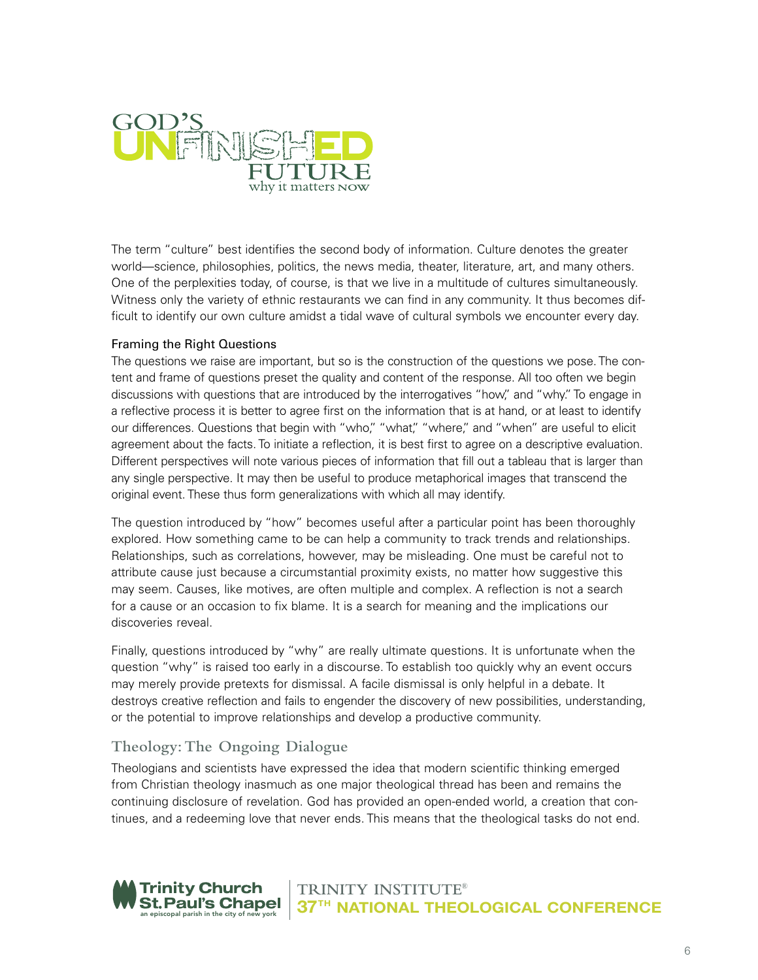

The term "culture" best identifies the second body of information. Culture denotes the greater world—science, philosophies, politics, the news media, theater, literature, art, and many others. One of the perplexities today, of course, is that we live in a multitude of cultures simultaneously. Witness only the variety of ethnic restaurants we can find in any community. It thus becomes difficult to identify our own culture amidst a tidal wave of cultural symbols we encounter every day.

#### Framing the Right Questions

The questions we raise are important, but so is the construction of the questions we pose. The content and frame of questions preset the quality and content of the response. All too often we begin discussions with questions that are introduced by the interrogatives "how," and "why." To engage in a reflective process it is better to agree first on the information that is at hand, or at least to identify our differences. Questions that begin with "who," "what," "where," and "when" are useful to elicit agreement about the facts. To initiate a reflection, it is best first to agree on a descriptive evaluation. Different perspectives will note various pieces of information that fill out a tableau that is larger than any single perspective. It may then be useful to produce metaphorical images that transcend the original event. These thus form generalizations with which all may identify.

The question introduced by "how" becomes useful after a particular point has been thoroughly explored. How something came to be can help a community to track trends and relationships. Relationships, such as correlations, however, may be misleading. One must be careful not to attribute cause just because a circumstantial proximity exists, no matter how suggestive this may seem. Causes, like motives, are often multiple and complex. A reflection is not a search for a cause or an occasion to fix blame. It is a search for meaning and the implications our discoveries reveal.

Finally, questions introduced by "why" are really ultimate questions. It is unfortunate when the question "why" is raised too early in a discourse. To establish too quickly why an event occurs may merely provide pretexts for dismissal. A facile dismissal is only helpful in a debate. It destroys creative reflection and fails to engender the discovery of new possibilities, understanding, or the potential to improve relationships and develop a productive community.

## **Theology:The Ongoing Dialogue**

Theologians and scientists have expressed the idea that modern scientific thinking emerged from Christian theology inasmuch as one major theological thread has been and remains the continuing disclosure of revelation. God has provided an open-ended world, a creation that continues, and a redeeming love that never ends. This means that the theological tasks do not end.